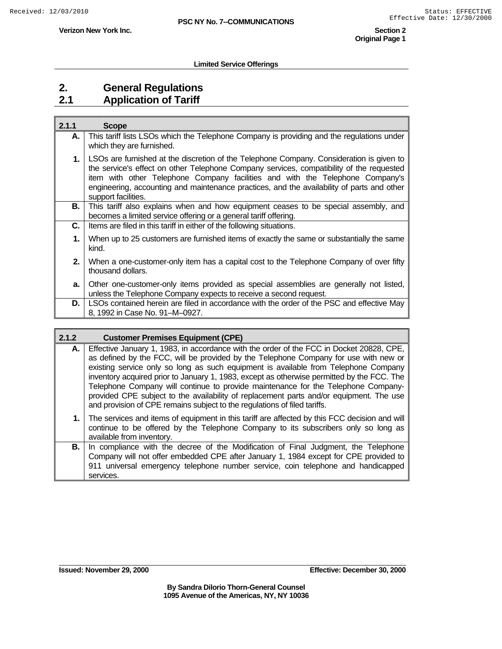#### **Limited Service Offerings**

## **2. General Regulations 2.1 Application of Tariff**

| 2.1.1 | <b>Scope</b>                                                                                                                                                                                                                                                                                                                                                                               |
|-------|--------------------------------------------------------------------------------------------------------------------------------------------------------------------------------------------------------------------------------------------------------------------------------------------------------------------------------------------------------------------------------------------|
| А.    | This tariff lists LSOs which the Telephone Company is providing and the regulations under<br>which they are furnished.                                                                                                                                                                                                                                                                     |
| 1.    | LSOs are furnished at the discretion of the Telephone Company. Consideration is given to<br>the service's effect on other Telephone Company services, compatibility of the requested<br>item with other Telephone Company facilities and with the Telephone Company's<br>engineering, accounting and maintenance practices, and the availability of parts and other<br>support facilities. |
| В.    | This tariff also explains when and how equipment ceases to be special assembly, and<br>becomes a limited service offering or a general tariff offering.                                                                                                                                                                                                                                    |
| С.    | Items are filed in this tariff in either of the following situations.                                                                                                                                                                                                                                                                                                                      |
| 1.    | When up to 25 customers are furnished items of exactly the same or substantially the same<br>kind.                                                                                                                                                                                                                                                                                         |
| 2.    | When a one-customer-only item has a capital cost to the Telephone Company of over fifty<br>thousand dollars.                                                                                                                                                                                                                                                                               |
| a.    | Other one-customer-only items provided as special assemblies are generally not listed,<br>unless the Telephone Company expects to receive a second request.                                                                                                                                                                                                                                |
| D.    | LSOs contained herein are filed in accordance with the order of the PSC and effective May<br>8, 1992 in Case No. 91-M-0927.                                                                                                                                                                                                                                                                |

| 2.1.2 | <b>Customer Premises Equipment (CPE)</b>                                                                                                                                                                                                                                                                                                                                                                                                                                                                                                                                                                                           |
|-------|------------------------------------------------------------------------------------------------------------------------------------------------------------------------------------------------------------------------------------------------------------------------------------------------------------------------------------------------------------------------------------------------------------------------------------------------------------------------------------------------------------------------------------------------------------------------------------------------------------------------------------|
| А.    | Effective January 1, 1983, in accordance with the order of the FCC in Docket 20828, CPE,<br>as defined by the FCC, will be provided by the Telephone Company for use with new or<br>existing service only so long as such equipment is available from Telephone Company<br>inventory acquired prior to January 1, 1983, except as otherwise permitted by the FCC. The<br>Telephone Company will continue to provide maintenance for the Telephone Company-<br>provided CPE subject to the availability of replacement parts and/or equipment. The use<br>and provision of CPE remains subject to the regulations of filed tariffs. |
| 1. l  | The services and items of equipment in this tariff are affected by this FCC decision and will<br>continue to be offered by the Telephone Company to its subscribers only so long as<br>available from inventory.                                                                                                                                                                                                                                                                                                                                                                                                                   |
| В.    | In compliance with the decree of the Modification of Final Judgment, the Telephone<br>Company will not offer embedded CPE after January 1, 1984 except for CPE provided to<br>911 universal emergency telephone number service, coin telephone and handicapped<br>services.                                                                                                                                                                                                                                                                                                                                                        |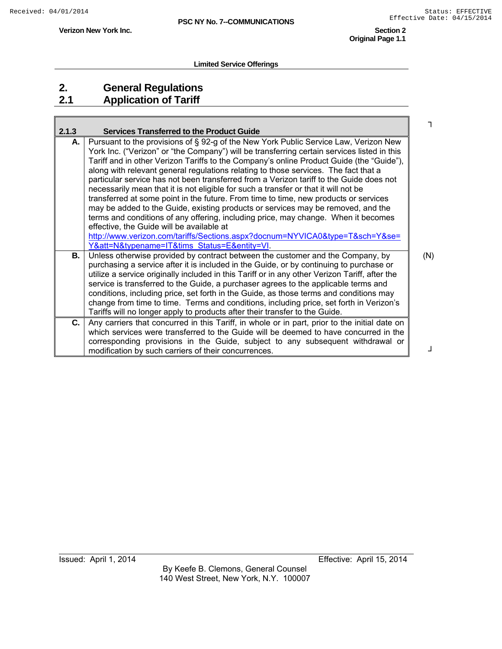**Original Page 1.1** 

### **Limited Service Offerings**

# **2. General Regulations 2.1 Application of Tariff**

**Verizon New York Inc.** 

| 2.1.3 | <b>Services Transferred to the Product Guide</b>                                                                                                                            |     |
|-------|-----------------------------------------------------------------------------------------------------------------------------------------------------------------------------|-----|
| А.    | Pursuant to the provisions of § 92-g of the New York Public Service Law, Verizon New                                                                                        |     |
|       | York Inc. ("Verizon" or "the Company") will be transferring certain services listed in this                                                                                 |     |
|       | Tariff and in other Verizon Tariffs to the Company's online Product Guide (the "Guide"),                                                                                    |     |
|       | along with relevant general regulations relating to those services. The fact that a                                                                                         |     |
|       | particular service has not been transferred from a Verizon tariff to the Guide does not                                                                                     |     |
|       | necessarily mean that it is not eligible for such a transfer or that it will not be<br>transferred at some point in the future. From time to time, new products or services |     |
|       | may be added to the Guide, existing products or services may be removed, and the                                                                                            |     |
|       | terms and conditions of any offering, including price, may change. When it becomes                                                                                          |     |
|       | effective, the Guide will be available at                                                                                                                                   |     |
|       | http://www.verizon.com/tariffs/Sections.aspx?docnum=NYVICA0&type=T&sch=Y&se=                                                                                                |     |
|       | Y&att=N&typename=IT&tims Status=E&entity=VI.                                                                                                                                |     |
| В.    | Unless otherwise provided by contract between the customer and the Company, by                                                                                              | (N) |
|       | purchasing a service after it is included in the Guide, or by continuing to purchase or                                                                                     |     |
|       | utilize a service originally included in this Tariff or in any other Verizon Tariff, after the                                                                              |     |
|       | service is transferred to the Guide, a purchaser agrees to the applicable terms and                                                                                         |     |
|       | conditions, including price, set forth in the Guide, as those terms and conditions may                                                                                      |     |
|       | change from time to time. Terms and conditions, including price, set forth in Verizon's                                                                                     |     |
|       | Tariffs will no longer apply to products after their transfer to the Guide.                                                                                                 |     |
| C.    | Any carriers that concurred in this Tariff, in whole or in part, prior to the initial date on                                                                               |     |
|       | which services were transferred to the Guide will be deemed to have concurred in the                                                                                        |     |
|       | corresponding provisions in the Guide, subject to any subsequent withdrawal or                                                                                              |     |
|       | modification by such carriers of their concurrences.                                                                                                                        |     |